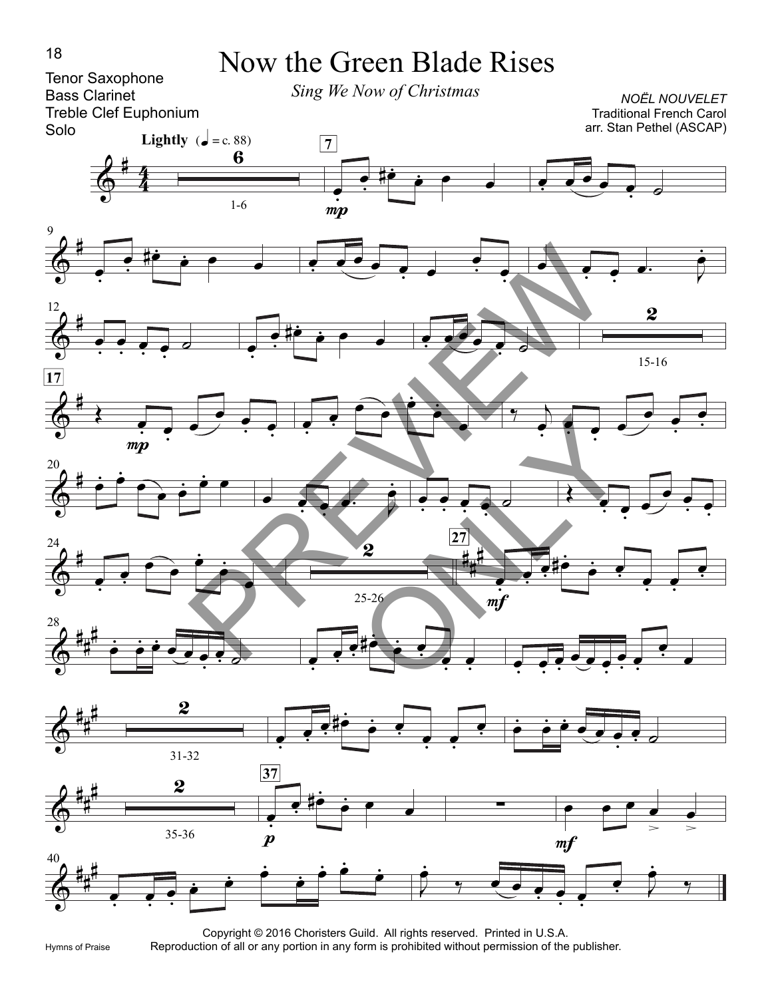

Hymns of Praise

Copyright © 2016 Choristers Guild. All rights reserved. Printed in U.S.A. Reproduction of all or any portion in any form is prohibited without permission of the publisher.